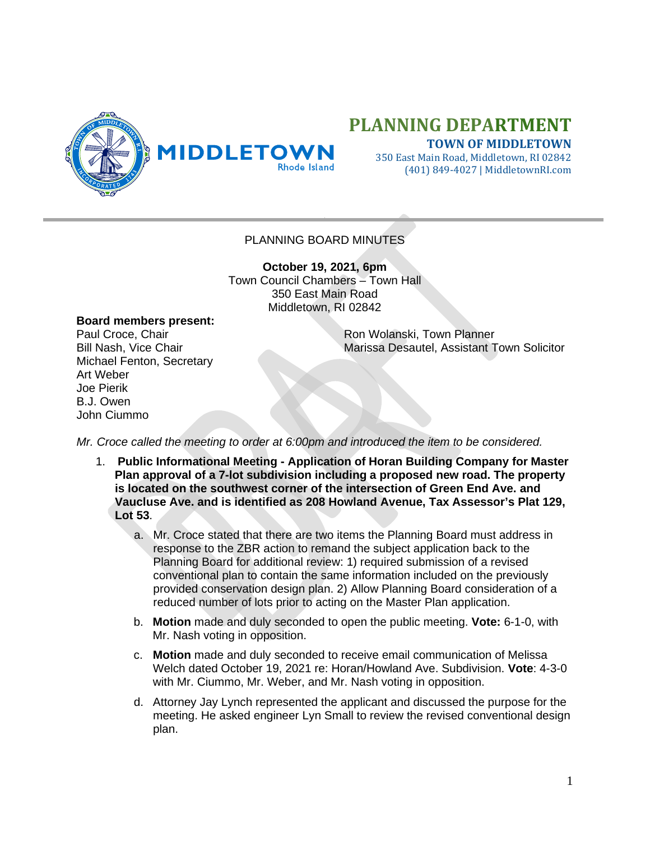

## **PLANNING DEPARTMENT**

**TOWN OF MIDDLETOWN**

350 East Main Road, Middletown, RI 02842 (401) 849-4027 | MiddletownRI.com

## PLANNING BOARD MINUTES

**October 19, 2021, 6pm** Town Council Chambers – Town Hall 350 East Main Road Middletown, RI 02842

## **Board members present:**

Michael Fenton, Secretary Art Weber Joe Pierik B.J. Owen John Ciummo

Paul Croce, Chair **Ron Wolanski, Town Planner** Ron Wolanski, Town Planner Bill Nash, Vice Chair Marissa Desautel, Assistant Town Solicitor

*Mr. Croce called the meeting to order at 6:00pm and introduced the item to be considered.*

- 1. **Public Informational Meeting - Application of Horan Building Company for Master Plan approval of a 7-lot subdivision including a proposed new road. The property is located on the southwest corner of the intersection of Green End Ave. and Vaucluse Ave. and is identified as 208 Howland Avenue, Tax Assessor's Plat 129, Lot 53**.
	- a. Mr. Croce stated that there are two items the Planning Board must address in response to the ZBR action to remand the subject application back to the Planning Board for additional review: 1) required submission of a revised conventional plan to contain the same information included on the previously provided conservation design plan. 2) Allow Planning Board consideration of a reduced number of lots prior to acting on the Master Plan application.
	- b. **Motion** made and duly seconded to open the public meeting. **Vote:** 6-1-0, with Mr. Nash voting in opposition.
	- c. **Motion** made and duly seconded to receive email communication of Melissa Welch dated October 19, 2021 re: Horan/Howland Ave. Subdivision. **Vote**: 4-3-0 with Mr. Ciummo, Mr. Weber, and Mr. Nash voting in opposition.
	- d. Attorney Jay Lynch represented the applicant and discussed the purpose for the meeting. He asked engineer Lyn Small to review the revised conventional design plan.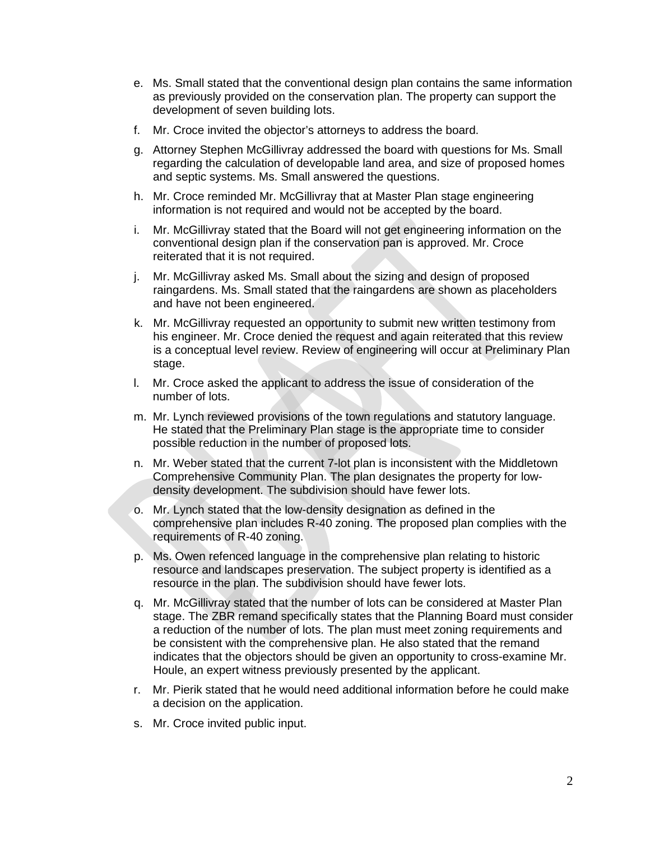- e. Ms. Small stated that the conventional design plan contains the same information as previously provided on the conservation plan. The property can support the development of seven building lots.
- f. Mr. Croce invited the objector's attorneys to address the board.
- g. Attorney Stephen McGillivray addressed the board with questions for Ms. Small regarding the calculation of developable land area, and size of proposed homes and septic systems. Ms. Small answered the questions.
- h. Mr. Croce reminded Mr. McGillivray that at Master Plan stage engineering information is not required and would not be accepted by the board.
- i. Mr. McGillivray stated that the Board will not get engineering information on the conventional design plan if the conservation pan is approved. Mr. Croce reiterated that it is not required.
- j. Mr. McGillivray asked Ms. Small about the sizing and design of proposed raingardens. Ms. Small stated that the raingardens are shown as placeholders and have not been engineered.
- k. Mr. McGillivray requested an opportunity to submit new written testimony from his engineer. Mr. Croce denied the request and again reiterated that this review is a conceptual level review. Review of engineering will occur at Preliminary Plan stage.
- l. Mr. Croce asked the applicant to address the issue of consideration of the number of lots.
- m. Mr. Lynch reviewed provisions of the town regulations and statutory language. He stated that the Preliminary Plan stage is the appropriate time to consider possible reduction in the number of proposed lots.
- n. Mr. Weber stated that the current 7-lot plan is inconsistent with the Middletown Comprehensive Community Plan. The plan designates the property for lowdensity development. The subdivision should have fewer lots.
- o. Mr. Lynch stated that the low-density designation as defined in the comprehensive plan includes R-40 zoning. The proposed plan complies with the requirements of R-40 zoning.
- p. Ms. Owen refenced language in the comprehensive plan relating to historic resource and landscapes preservation. The subject property is identified as a resource in the plan. The subdivision should have fewer lots.
- q. Mr. McGillivray stated that the number of lots can be considered at Master Plan stage. The ZBR remand specifically states that the Planning Board must consider a reduction of the number of lots. The plan must meet zoning requirements and be consistent with the comprehensive plan. He also stated that the remand indicates that the objectors should be given an opportunity to cross-examine Mr. Houle, an expert witness previously presented by the applicant.
- r. Mr. Pierik stated that he would need additional information before he could make a decision on the application.
- s. Mr. Croce invited public input.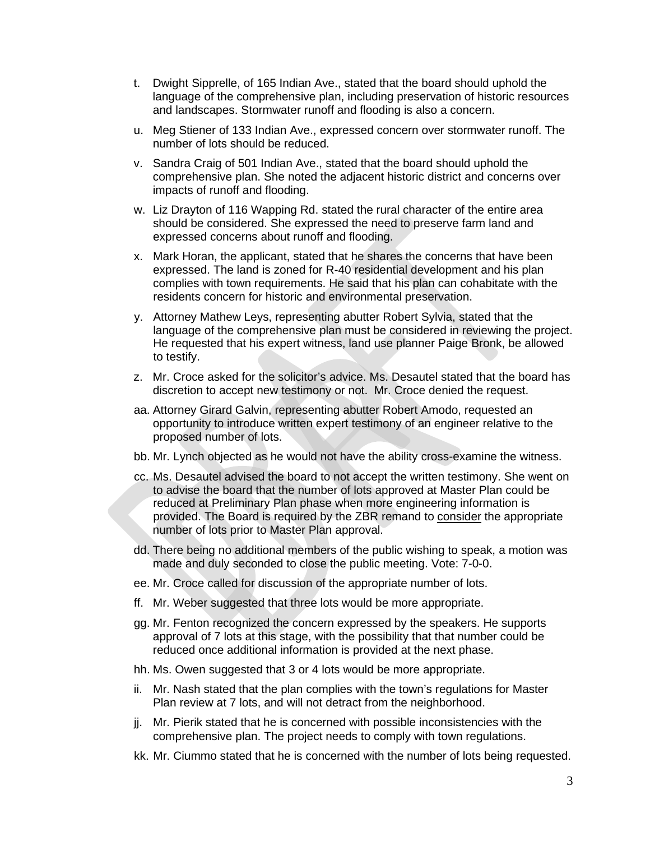- t. Dwight Sipprelle, of 165 Indian Ave., stated that the board should uphold the language of the comprehensive plan, including preservation of historic resources and landscapes. Stormwater runoff and flooding is also a concern.
- u. Meg Stiener of 133 Indian Ave., expressed concern over stormwater runoff. The number of lots should be reduced.
- v. Sandra Craig of 501 Indian Ave., stated that the board should uphold the comprehensive plan. She noted the adjacent historic district and concerns over impacts of runoff and flooding.
- w. Liz Drayton of 116 Wapping Rd. stated the rural character of the entire area should be considered. She expressed the need to preserve farm land and expressed concerns about runoff and flooding.
- x. Mark Horan, the applicant, stated that he shares the concerns that have been expressed. The land is zoned for R-40 residential development and his plan complies with town requirements. He said that his plan can cohabitate with the residents concern for historic and environmental preservation.
- y. Attorney Mathew Leys, representing abutter Robert Sylvia, stated that the language of the comprehensive plan must be considered in reviewing the project. He requested that his expert witness, land use planner Paige Bronk, be allowed to testify.
- z. Mr. Croce asked for the solicitor's advice. Ms. Desautel stated that the board has discretion to accept new testimony or not. Mr. Croce denied the request.
- aa. Attorney Girard Galvin, representing abutter Robert Amodo, requested an opportunity to introduce written expert testimony of an engineer relative to the proposed number of lots.
- bb. Mr. Lynch objected as he would not have the ability cross-examine the witness.
- cc. Ms. Desautel advised the board to not accept the written testimony. She went on to advise the board that the number of lots approved at Master Plan could be reduced at Preliminary Plan phase when more engineering information is provided. The Board is required by the ZBR remand to consider the appropriate number of lots prior to Master Plan approval.
- dd. There being no additional members of the public wishing to speak, a motion was made and duly seconded to close the public meeting. Vote: 7-0-0.
- ee. Mr. Croce called for discussion of the appropriate number of lots.
- ff. Mr. Weber suggested that three lots would be more appropriate.
- gg. Mr. Fenton recognized the concern expressed by the speakers. He supports approval of 7 lots at this stage, with the possibility that that number could be reduced once additional information is provided at the next phase.
- hh. Ms. Owen suggested that 3 or 4 lots would be more appropriate.
- ii. Mr. Nash stated that the plan complies with the town's regulations for Master Plan review at 7 lots, and will not detract from the neighborhood.
- jj. Mr. Pierik stated that he is concerned with possible inconsistencies with the comprehensive plan. The project needs to comply with town regulations.
- kk. Mr. Ciummo stated that he is concerned with the number of lots being requested.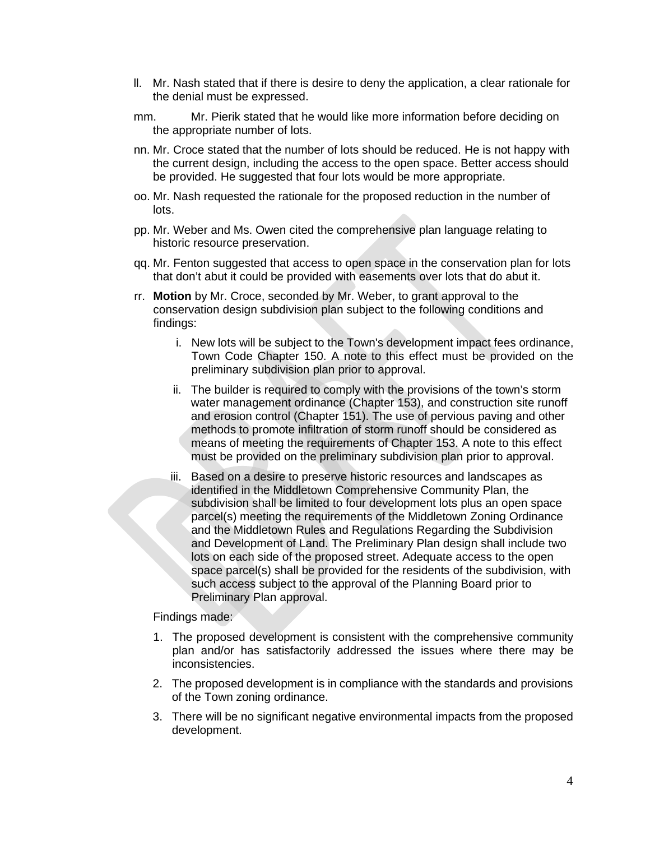- ll. Mr. Nash stated that if there is desire to deny the application, a clear rationale for the denial must be expressed.
- mm. Mr. Pierik stated that he would like more information before deciding on the appropriate number of lots.
- nn. Mr. Croce stated that the number of lots should be reduced. He is not happy with the current design, including the access to the open space. Better access should be provided. He suggested that four lots would be more appropriate.
- oo. Mr. Nash requested the rationale for the proposed reduction in the number of lots.
- pp. Mr. Weber and Ms. Owen cited the comprehensive plan language relating to historic resource preservation.
- qq. Mr. Fenton suggested that access to open space in the conservation plan for lots that don't abut it could be provided with easements over lots that do abut it.
- rr. **Motion** by Mr. Croce, seconded by Mr. Weber, to grant approval to the conservation design subdivision plan subject to the following conditions and findings:
	- i. New lots will be subject to the Town's development impact fees ordinance, Town Code Chapter 150. A note to this effect must be provided on the preliminary subdivision plan prior to approval.
	- ii. The builder is required to comply with the provisions of the town's storm water management ordinance (Chapter 153), and construction site runoff and erosion control (Chapter 151). The use of pervious paving and other methods to promote infiltration of storm runoff should be considered as means of meeting the requirements of Chapter 153. A note to this effect must be provided on the preliminary subdivision plan prior to approval.
	- iii. Based on a desire to preserve historic resources and landscapes as identified in the Middletown Comprehensive Community Plan, the subdivision shall be limited to four development lots plus an open space parcel(s) meeting the requirements of the Middletown Zoning Ordinance and the Middletown Rules and Regulations Regarding the Subdivision and Development of Land. The Preliminary Plan design shall include two lots on each side of the proposed street. Adequate access to the open space parcel(s) shall be provided for the residents of the subdivision, with such access subject to the approval of the Planning Board prior to Preliminary Plan approval.

## Findings made:

- 1. The proposed development is consistent with the comprehensive community plan and/or has satisfactorily addressed the issues where there may be inconsistencies.
- 2. The proposed development is in compliance with the standards and provisions of the Town zoning ordinance.
- 3. There will be no significant negative environmental impacts from the proposed development.